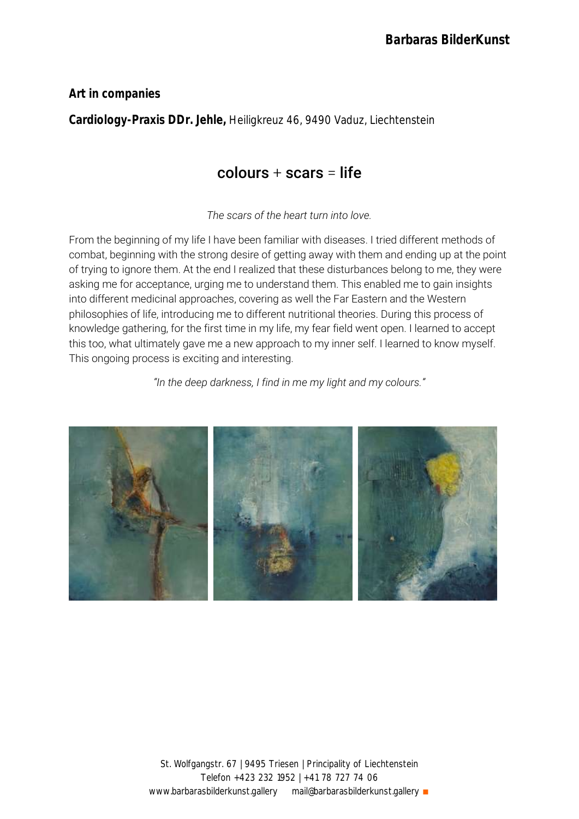**Art in companies**

**Cardiology-Praxis DDr. Jehle,** Heiligkreuz 46, 9490 Vaduz, Liechtenstein

# $colours + scars = life$

*The scars of the heart turn into love.*

From the beginning of my life I have been familiar with diseases. I tried different methods of combat, beginning with the strong desire of getting away with them and ending up at the point of trying to ignore them. At the end I realized that these disturbances belong to me, they were asking me for acceptance, urging me to understand them. This enabled me to gain insights into different medicinal approaches, covering as well the Far Eastern and the Western philosophies of life, introducing me to different nutritional theories. During this process of knowledge gathering, for the first time in my life, my fear field went open. I learned to accept this too, what ultimately gave me a new approach to my inner self. I learned to know myself. This ongoing process is exciting and interesting.

*"In the deep darkness, I find in me my light and my colours."*

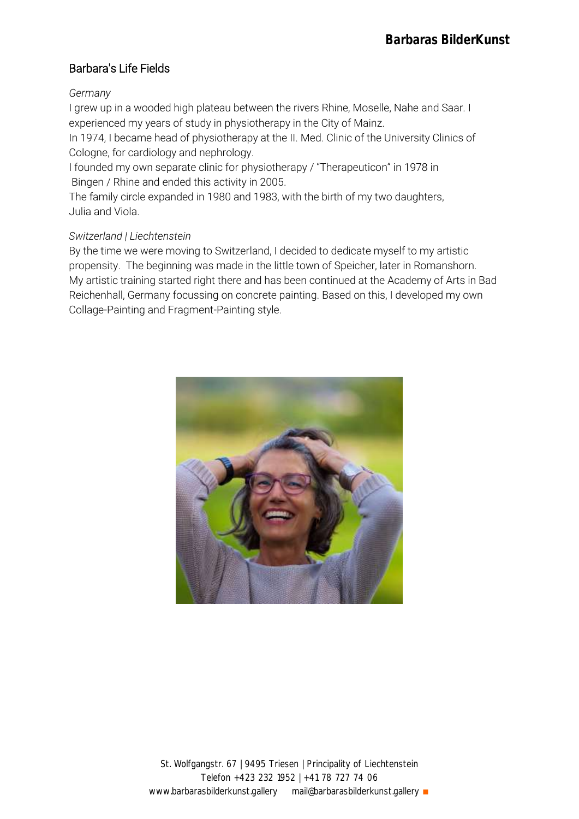## Barbara's Life Fields

#### *Germany*

I grew up in a wooded high plateau between the rivers Rhine, Moselle, Nahe and Saar. I experienced my years of study in physiotherapy in the City of Mainz.

In 1974, I became head of physiotherapy at the II. Med. Clinic of the University Clinics of Cologne, for cardiology and nephrology.

I founded my own separate clinic for physiotherapy / "Therapeuticon" in 1978 in Bingen / Rhine and ended this activity in 2005.

The family circle expanded in 1980 and 1983, with the birth of my two daughters, Julia and Viola.

#### *Switzerland | Liechtenstein*

By the time we were moving to Switzerland, I decided to dedicate myself to my artistic propensity. The beginning was made in the little town of Speicher, later in Romanshorn. My artistic training started right there and has been continued at the Academy of Arts in Bad Reichenhall, Germany focussing on concrete painting. Based on this, I developed my own Collage-Painting and Fragment-Painting style.

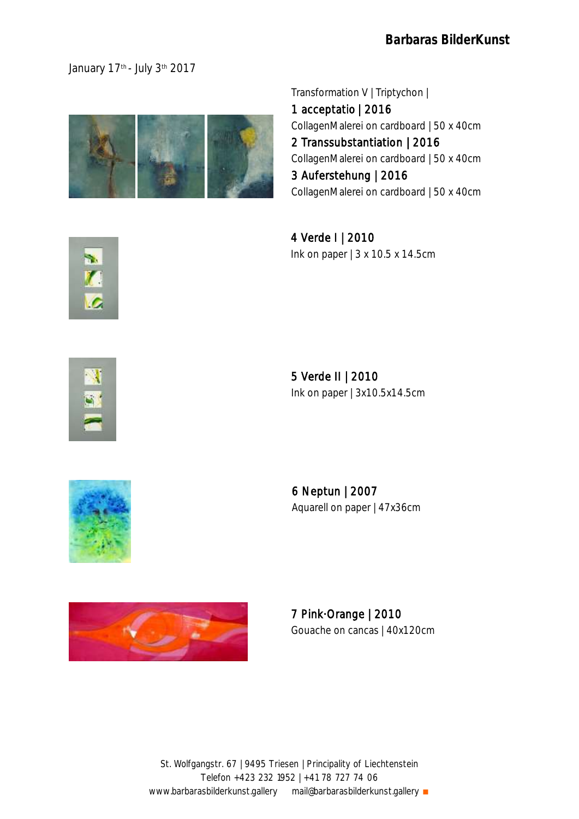### January 17<sup>th</sup> - July 3<sup>th</sup> 2017



Transformation V | Triptychon |

1 acceptatio | 2016 CollagenMalerei on cardboard | 50 x 40cm 2 Transsubstantiation | 2016 CollagenMalerei on cardboard | 50 x 40cm 3 Auferstehung | 2016 CollagenMalerei on cardboard | 50 x 40cm

4 Verde I | 2010 Ink on paper | 3 x 10.5 x 14.5cm



5 Verde II | 2010 Ink on paper | 3x10.5x14.5cm



6 Neptun | 2007 Aquarell on paper | 47x36cm



7 Pink·Orange | 2010 Gouache on cancas | 40x120cm

St. Wolfgangstr. 67 | 9495 Triesen | Principality of Liechtenstein Telefon +423 232 1952 | +41 78 727 74 06 www.barbarasbilderkunst.gallery mail@barbarasbilderkunst.gallery ∎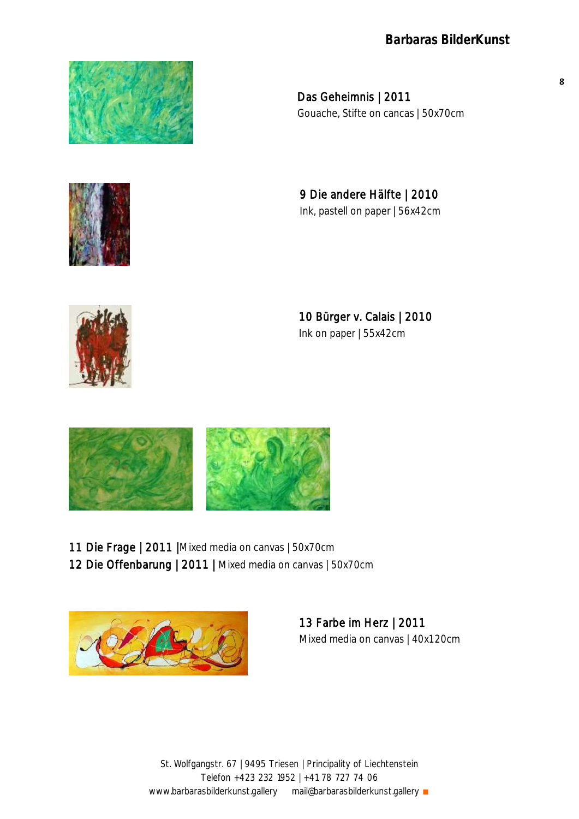

Das Geheimnis | 2011 Gouache, Stifte on cancas | 50x70cm

9 Die andere Hälfte | 2010 Ink, pastell on paper | 56x42cm



10 Bürger v. Calais | 2010 Ink on paper | 55x42cm



11 Die Frage | 2011 |Mixed media on canvas | 50x70cm 12 Die Offenbarung | 2011 | Mixed media on canvas | 50x70cm



13 Farbe im Herz | 2011 Mixed media on canvas | 40x120cm

St. Wolfgangstr. 67 | 9495 Triesen | Principality of Liechtenstein Telefon +423 232 1952 | +41 78 727 74 06 www.barbarasbilderkunst.gallery mail@barbarasbilderkunst.gallery ∎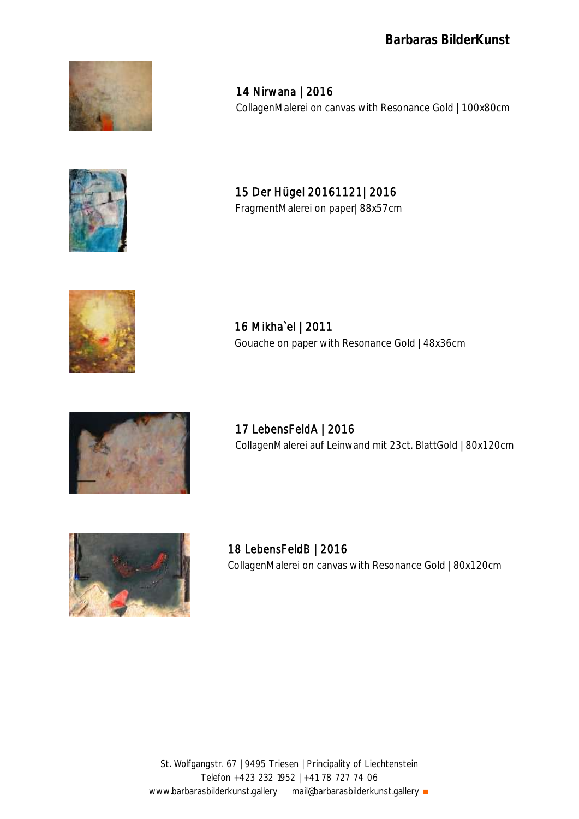

14 Nirwana | 2016 CollagenMalerei on canvas with Resonance Gold | 100x80cm



15 Der Hügel 20161121| 2016 FragmentMalerei on paper| 88x57cm



16 Mikha`el | 2011 Gouache on paper with Resonance Gold | 48x36cm



17 LebensFeldA | 2016 CollagenMalerei auf Leinwand mit 23ct. BlattGold | 80x120cm



18 LebensFeldB | 2016 CollagenMalerei on canvas with Resonance Gold | 80x120cm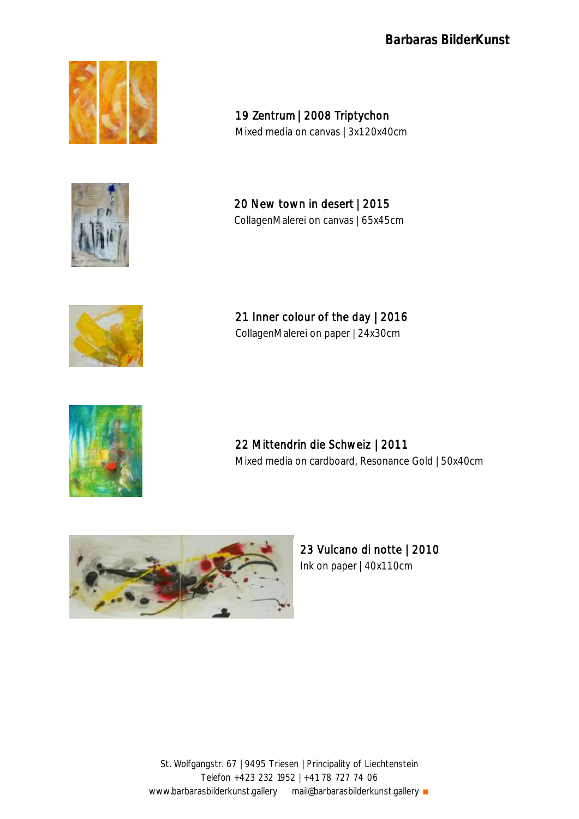

19 Zentrum | 2008 Triptychon Mixed media on canvas | 3x120x40cm



20 New town in desert | 2015 CollagenMalerei on canvas | 65x45cm



21 Inner colour of the day | 2016 CollagenMalerei on paper | 24x30cm



 22 Mittendrin die Schweiz | 2011 Mixed media on cardboard, Resonance Gold | 50x40cm



23 Vulcano di notte | 2010 Ink on paper | 40x110cm